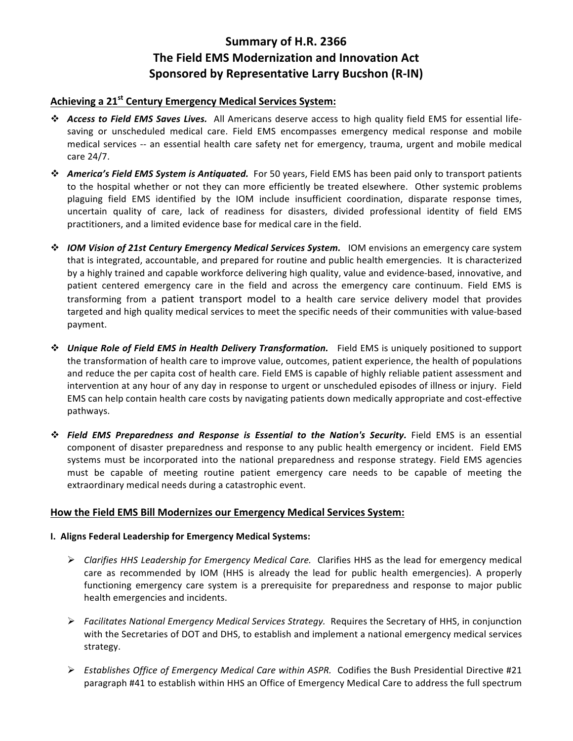# Summary of H.R. 2366 **The Field EMS Modernization and Innovation Act Sponsored by Representative Larry Bucshon (R-IN)**

## **Achieving a 21st Century Emergency Medical Services System:**

- \* Access to Field EMS Saves Lives. All Americans deserve access to high quality field EMS for essential lifesaving or unscheduled medical care. Field EMS encompasses emergency medical response and mobile medical services -- an essential health care safety net for emergency, trauma, urgent and mobile medical care 24/7.
- **\*** America's Field EMS System is Antiquated. For 50 years, Field EMS has been paid only to transport patients to the hospital whether or not they can more efficiently be treated elsewhere. Other systemic problems plaguing field EMS identified by the IOM include insufficient coordination, disparate response times, uncertain quality of care, lack of readiness for disasters, divided professional identity of field EMS practitioners, and a limited evidence base for medical care in the field.
- **☆** *IOM Vision of 21st Century Emergency Medical Services System.* IOM envisions an emergency care system that is integrated, accountable, and prepared for routine and public health emergencies. It is characterized by a highly trained and capable workforce delivering high quality, value and evidence-based, innovative, and patient centered emergency care in the field and across the emergency care continuum. Field EMS is transforming from a patient transport model to a health care service delivery model that provides targeted and high quality medical services to meet the specific needs of their communities with value-based payment.
- **\*** Unique Role of Field EMS in Health Delivery Transformation. Field EMS is uniquely positioned to support the transformation of health care to improve value, outcomes, patient experience, the health of populations and reduce the per capita cost of health care. Field EMS is capable of highly reliable patient assessment and intervention at any hour of any day in response to urgent or unscheduled episodes of illness or injury. Field EMS can help contain health care costs by navigating patients down medically appropriate and cost-effective pathways.
- **<sup>❖</sup> Field EMS Preparedness and Response is Essential to the Nation's Security.** Field EMS is an essential component of disaster preparedness and response to any public health emergency or incident. Field EMS systems must be incorporated into the national preparedness and response strategy. Field EMS agencies must be capable of meeting routine patient emergency care needs to be capable of meeting the extraordinary medical needs during a catastrophic event.

## How the Field EMS Bill Modernizes our Emergency Medical Services System:

### **I. Aligns Federal Leadership for Emergency Medical Systems:**

- $▶$  *Clarifies HHS Leadership for Emergency Medical Care.* Clarifies HHS as the lead for emergency medical care as recommended by IOM (HHS is already the lead for public health emergencies). A properly functioning emergency care system is a prerequisite for preparedness and response to major public health emergencies and incidents.
- $▶$  *Facilitates National Emergency Medical Services Strategy.* Requires the Secretary of HHS, in conjunction with the Secretaries of DOT and DHS, to establish and implement a national emergency medical services strategy.
- Establishes Office of Emergency Medical Care within ASPR. Codifies the Bush Presidential Directive #21 paragraph #41 to establish within HHS an Office of Emergency Medical Care to address the full spectrum